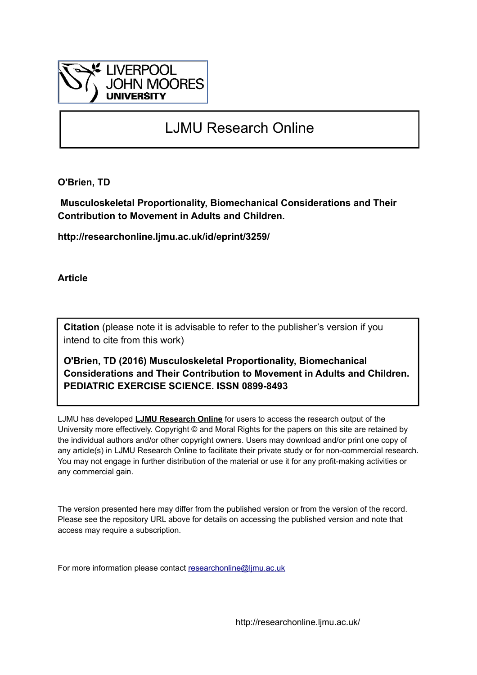

# LJMU Research Online

**O'Brien, TD**

 **Musculoskeletal Proportionality, Biomechanical Considerations and Their Contribution to Movement in Adults and Children.**

**http://researchonline.ljmu.ac.uk/id/eprint/3259/**

**Article**

**Citation** (please note it is advisable to refer to the publisher's version if you intend to cite from this work)

**O'Brien, TD (2016) Musculoskeletal Proportionality, Biomechanical Considerations and Their Contribution to Movement in Adults and Children. PEDIATRIC EXERCISE SCIENCE. ISSN 0899-8493** 

LJMU has developed **[LJMU Research Online](http://researchonline.ljmu.ac.uk/)** for users to access the research output of the University more effectively. Copyright © and Moral Rights for the papers on this site are retained by the individual authors and/or other copyright owners. Users may download and/or print one copy of any article(s) in LJMU Research Online to facilitate their private study or for non-commercial research. You may not engage in further distribution of the material or use it for any profit-making activities or any commercial gain.

The version presented here may differ from the published version or from the version of the record. Please see the repository URL above for details on accessing the published version and note that access may require a subscription.

For more information please contact [researchonline@ljmu.ac.uk](mailto:researchonline@ljmu.ac.uk)

http://researchonline.ljmu.ac.uk/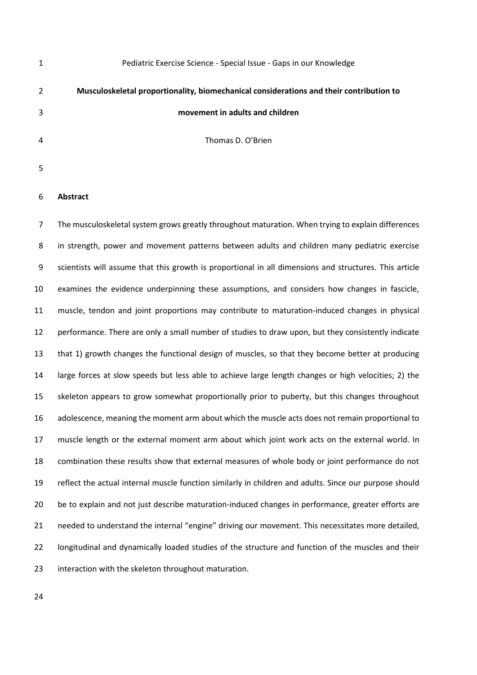| 1 | Pediatric Exercise Science - Special Issue - Gaps in our Knowledge                      |
|---|-----------------------------------------------------------------------------------------|
| 2 | Musculoskeletal proportionality, biomechanical considerations and their contribution to |
| 3 | movement in adults and children                                                         |
| 4 | Thomas D. O'Brien                                                                       |
| 5 |                                                                                         |

## **Abstract**

 The musculoskeletal system grows greatly throughout maturation. When trying to explain differences in strength, power and movement patterns between adults and children many pediatric exercise scientists will assume that this growth is proportional in all dimensions and structures. This article examines the evidence underpinning these assumptions, and considers how changes in fascicle, muscle, tendon and joint proportions may contribute to maturation-induced changes in physical performance. There are only a small number of studies to draw upon, but they consistently indicate that 1) growth changes the functional design of muscles, so that they become better at producing large forces at slow speeds but less able to achieve large length changes or high velocities; 2) the skeleton appears to grow somewhat proportionally prior to puberty, but this changes throughout adolescence, meaning the moment arm about which the muscle acts does not remain proportional to muscle length or the external moment arm about which joint work acts on the external world. In combination these results show that external measures of whole body or joint performance do not reflect the actual internal muscle function similarly in children and adults. Since our purpose should 20 be to explain and not just describe maturation-induced changes in performance, greater efforts are needed to understand the internal "engine" driving our movement. This necessitates more detailed, 22 longitudinal and dynamically loaded studies of the structure and function of the muscles and their interaction with the skeleton throughout maturation.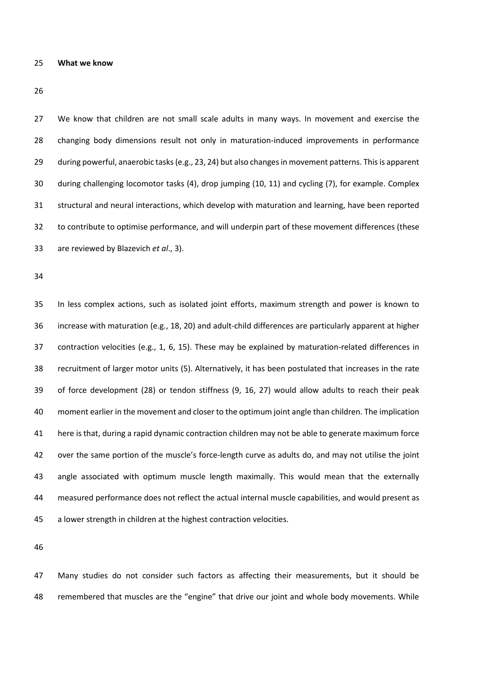#### **What we know**

 We know that children are not small scale adults in many ways. In movement and exercise the changing body dimensions result not only in maturation-induced improvements in performance during powerful, anaerobic tasks(e.g., 23, 24) but also changes in movement patterns. This is apparent during challenging locomotor tasks (4), drop jumping (10, 11) and cycling (7), for example. Complex structural and neural interactions, which develop with maturation and learning, have been reported to contribute to optimise performance, and will underpin part of these movement differences (these are reviewed by Blazevich *et al*., 3).

 In less complex actions, such as isolated joint efforts, maximum strength and power is known to increase with maturation (e.g., 18, 20) and adult-child differences are particularly apparent at higher contraction velocities (e.g., 1, 6, 15). These may be explained by maturation-related differences in recruitment of larger motor units (5). Alternatively, it has been postulated that increases in the rate of force development (28) or tendon stiffness (9, 16, 27) would allow adults to reach their peak moment earlier in the movement and closer to the optimum joint angle than children. The implication here is that, during a rapid dynamic contraction children may not be able to generate maximum force over the same portion of the muscle's force-length curve as adults do, and may not utilise the joint angle associated with optimum muscle length maximally. This would mean that the externally measured performance does not reflect the actual internal muscle capabilities, and would present as a lower strength in children at the highest contraction velocities.

 Many studies do not consider such factors as affecting their measurements, but it should be remembered that muscles are the "engine" that drive our joint and whole body movements. While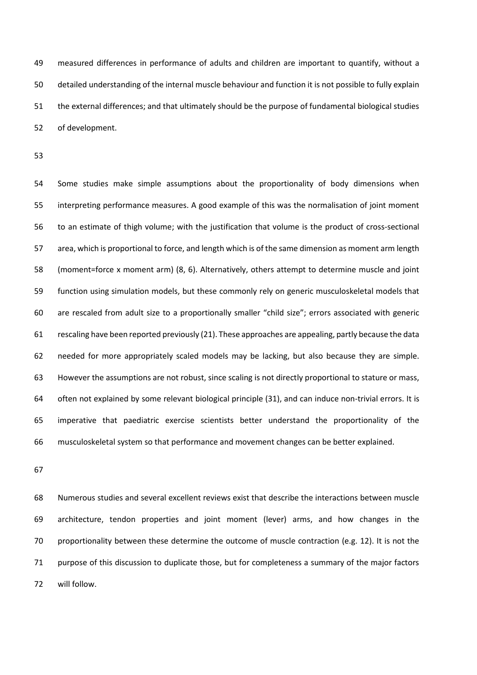measured differences in performance of adults and children are important to quantify, without a detailed understanding of the internal muscle behaviour and function it is not possible to fully explain the external differences; and that ultimately should be the purpose of fundamental biological studies of development.

 Some studies make simple assumptions about the proportionality of body dimensions when interpreting performance measures. A good example of this was the normalisation of joint moment to an estimate of thigh volume; with the justification that volume is the product of cross-sectional area, which is proportional to force, and length which is of the same dimension as moment arm length (moment=force x moment arm) (8, 6). Alternatively, others attempt to determine muscle and joint function using simulation models, but these commonly rely on generic musculoskeletal models that are rescaled from adult size to a proportionally smaller "child size"; errors associated with generic rescaling have been reported previously (21). These approaches are appealing, partly because the data needed for more appropriately scaled models may be lacking, but also because they are simple. However the assumptions are not robust, since scaling is not directly proportional to stature or mass, often not explained by some relevant biological principle (31), and can induce non-trivial errors. It is imperative that paediatric exercise scientists better understand the proportionality of the musculoskeletal system so that performance and movement changes can be better explained.

 Numerous studies and several excellent reviews exist that describe the interactions between muscle architecture, tendon properties and joint moment (lever) arms, and how changes in the proportionality between these determine the outcome of muscle contraction (e.g. 12). It is not the purpose of this discussion to duplicate those, but for completeness a summary of the major factors will follow.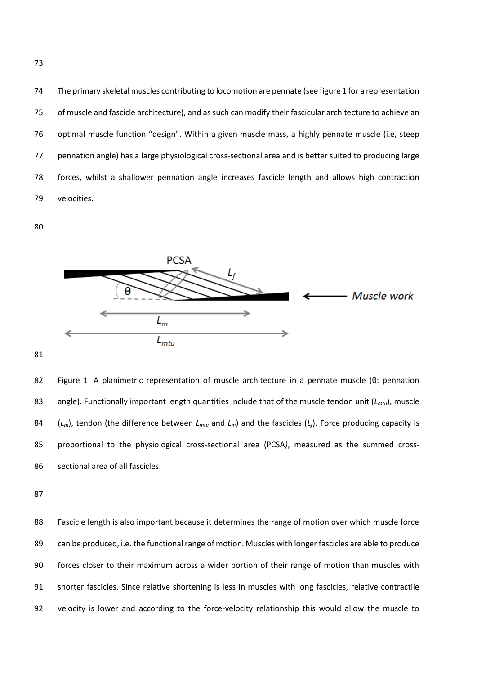The primary skeletal muscles contributing to locomotion are pennate (see figure 1 for a representation of muscle and fascicle architecture), and as such can modify their fascicular architecture to achieve an optimal muscle function "design". Within a given muscle mass, a highly pennate muscle (i.e, steep pennation angle) has a large physiological cross-sectional area and is better suited to producing large forces, whilst a shallower pennation angle increases fascicle length and allows high contraction velocities.



 Figure 1. A planimetric representation of muscle architecture in a pennate muscle (θ: pennation angle). Functionally important length quantities include that of the muscle tendon unit (*Lmtu*), muscle (*Lm*), tendon (the difference between *Lmtu* and *Lm*) and the fascicles (*Lf*). Force producing capacity is proportional to the physiological cross-sectional area (PCSA*)*, measured as the summed cross-sectional area of all fascicles.

 Fascicle length is also important because it determines the range of motion over which muscle force can be produced, i.e. the functional range of motion. Muscles with longer fascicles are able to produce forces closer to their maximum across a wider portion of their range of motion than muscles with shorter fascicles. Since relative shortening is less in muscles with long fascicles, relative contractile velocity is lower and according to the force-velocity relationship this would allow the muscle to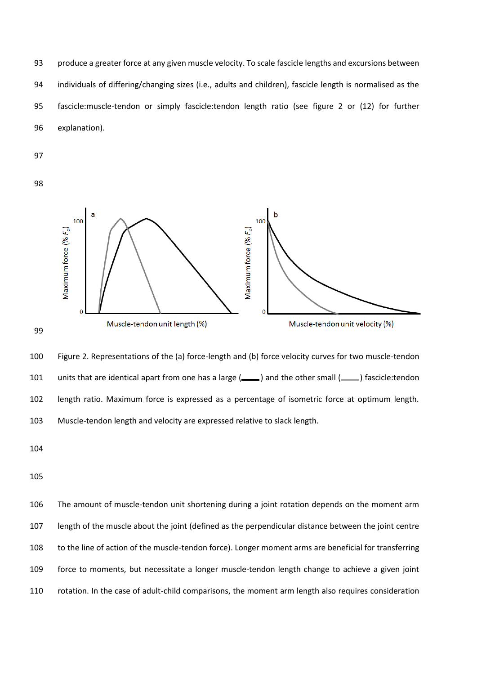produce a greater force at any given muscle velocity. To scale fascicle lengths and excursions between individuals of differing/changing sizes (i.e., adults and children), fascicle length is normalised as the fascicle:muscle-tendon or simply fascicle:tendon length ratio (see figure 2 or (12) for further explanation).





 Figure 2. Representations of the (a) force-length and (b) force velocity curves for two muscle-tendon 101 units that are identical apart from one has a large (-ally ) and the other small (-ally ) fascicle:tendon length ratio. Maximum force is expressed as a percentage of isometric force at optimum length. Muscle-tendon length and velocity are expressed relative to slack length.

 The amount of muscle-tendon unit shortening during a joint rotation depends on the moment arm length of the muscle about the joint (defined as the perpendicular distance between the joint centre to the line of action of the muscle-tendon force). Longer moment arms are beneficial for transferring force to moments, but necessitate a longer muscle-tendon length change to achieve a given joint rotation. In the case of adult-child comparisons, the moment arm length also requires consideration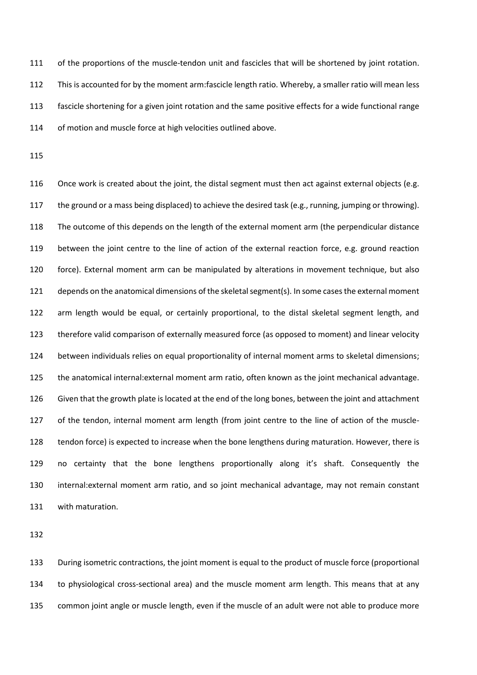111 of the proportions of the muscle-tendon unit and fascicles that will be shortened by joint rotation. This is accounted for by the moment arm:fascicle length ratio. Whereby, a smaller ratio will mean less fascicle shortening for a given joint rotation and the same positive effects for a wide functional range 114 of motion and muscle force at high velocities outlined above.

116 Once work is created about the joint, the distal segment must then act against external objects (e.g. the ground or a mass being displaced) to achieve the desired task (e.g., running, jumping or throwing). The outcome of this depends on the length of the external moment arm (the perpendicular distance between the joint centre to the line of action of the external reaction force, e.g. ground reaction force). External moment arm can be manipulated by alterations in movement technique, but also depends on the anatomical dimensions of the skeletal segment(s). In some cases the external moment arm length would be equal, or certainly proportional, to the distal skeletal segment length, and therefore valid comparison of externally measured force (as opposed to moment) and linear velocity between individuals relies on equal proportionality of internal moment arms to skeletal dimensions; the anatomical internal:external moment arm ratio, often known as the joint mechanical advantage. Given that the growth plate is located at the end of the long bones, between the joint and attachment of the tendon, internal moment arm length (from joint centre to the line of action of the muscle- tendon force) is expected to increase when the bone lengthens during maturation. However, there is no certainty that the bone lengthens proportionally along it's shaft. Consequently the internal:external moment arm ratio, and so joint mechanical advantage, may not remain constant with maturation.

 During isometric contractions, the joint moment is equal to the product of muscle force (proportional to physiological cross-sectional area) and the muscle moment arm length. This means that at any common joint angle or muscle length, even if the muscle of an adult were not able to produce more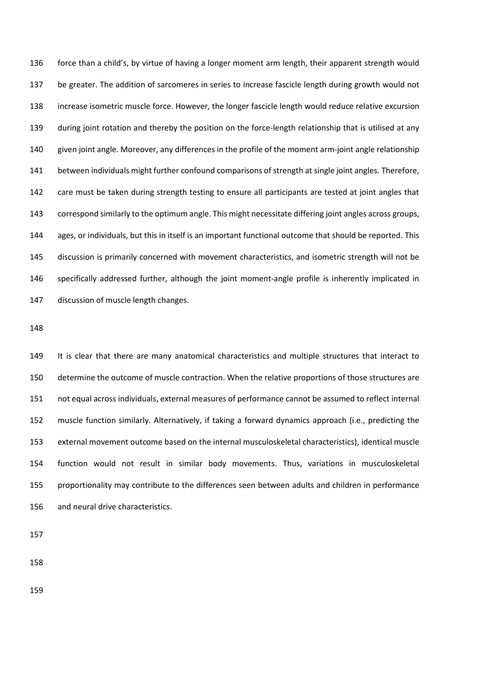force than a child's, by virtue of having a longer moment arm length, their apparent strength would be greater. The addition of sarcomeres in series to increase fascicle length during growth would not increase isometric muscle force. However, the longer fascicle length would reduce relative excursion during joint rotation and thereby the position on the force-length relationship that is utilised at any given joint angle. Moreover, any differences in the profile of the moment arm-joint angle relationship between individuals might further confound comparisons of strength at single joint angles. Therefore, 142 care must be taken during strength testing to ensure all participants are tested at joint angles that correspond similarly to the optimum angle. This might necessitate differing joint angles across groups, ages, or individuals, but this in itself is an important functional outcome that should be reported. This discussion is primarily concerned with movement characteristics, and isometric strength will not be specifically addressed further, although the joint moment-angle profile is inherently implicated in discussion of muscle length changes.

 It is clear that there are many anatomical characteristics and multiple structures that interact to determine the outcome of muscle contraction. When the relative proportions of those structures are not equal across individuals, external measures of performance cannot be assumed to reflect internal muscle function similarly. Alternatively, if taking a forward dynamics approach (i.e., predicting the external movement outcome based on the internal musculoskeletal characteristics), identical muscle function would not result in similar body movements. Thus, variations in musculoskeletal proportionality may contribute to the differences seen between adults and children in performance and neural drive characteristics.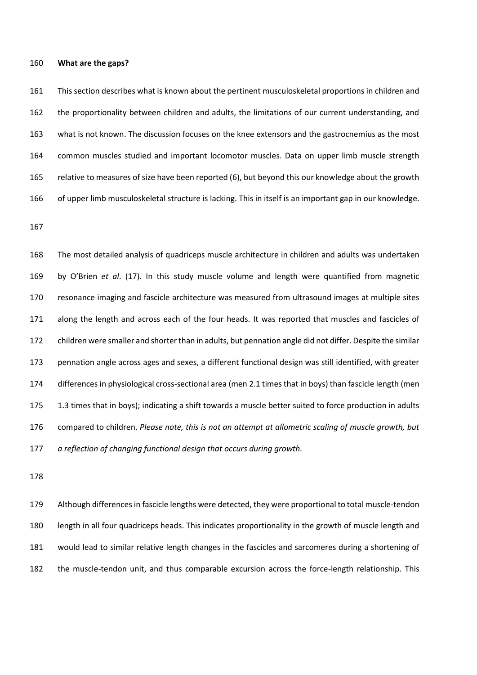#### **What are the gaps?**

 This section describes what is known about the pertinent musculoskeletal proportions in children and the proportionality between children and adults, the limitations of our current understanding, and what is not known. The discussion focuses on the knee extensors and the gastrocnemius as the most common muscles studied and important locomotor muscles. Data on upper limb muscle strength relative to measures of size have been reported (6), but beyond this our knowledge about the growth of upper limb musculoskeletal structure is lacking. This in itself is an important gap in our knowledge.

 The most detailed analysis of quadriceps muscle architecture in children and adults was undertaken by O'Brien *et al*. (17). In this study muscle volume and length were quantified from magnetic resonance imaging and fascicle architecture was measured from ultrasound images at multiple sites along the length and across each of the four heads. It was reported that muscles and fascicles of children were smaller and shorter than in adults, but pennation angle did not differ. Despite the similar pennation angle across ages and sexes, a different functional design was still identified, with greater differences in physiological cross-sectional area (men 2.1 times that in boys) than fascicle length (men 1.3 times that in boys); indicating a shift towards a muscle better suited to force production in adults compared to children. *Please note, this is not an attempt at allometric scaling of muscle growth, but a reflection of changing functional design that occurs during growth.*

 Although differences in fascicle lengths were detected, they were proportional to total muscle-tendon length in all four quadriceps heads. This indicates proportionality in the growth of muscle length and would lead to similar relative length changes in the fascicles and sarcomeres during a shortening of the muscle-tendon unit, and thus comparable excursion across the force-length relationship. This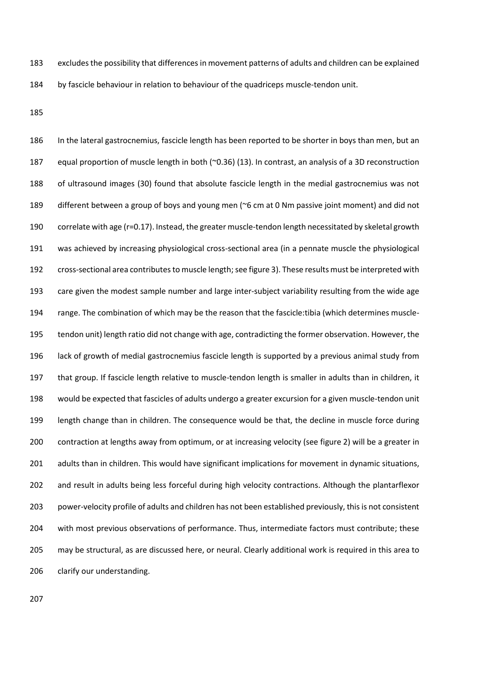excludes the possibility that differences in movement patterns of adults and children can be explained by fascicle behaviour in relation to behaviour of the quadriceps muscle-tendon unit.

 In the lateral gastrocnemius, fascicle length has been reported to be shorter in boys than men, but an equal proportion of muscle length in both (~0.36) (13). In contrast, an analysis of a 3D reconstruction of ultrasound images (30) found that absolute fascicle length in the medial gastrocnemius was not different between a group of boys and young men (~6 cm at 0 Nm passive joint moment) and did not correlate with age (r=0.17). Instead, the greater muscle-tendon length necessitated by skeletal growth was achieved by increasing physiological cross-sectional area (in a pennate muscle the physiological cross-sectional area contributes to muscle length; see figure 3). These results must be interpreted with care given the modest sample number and large inter-subject variability resulting from the wide age range. The combination of which may be the reason that the fascicle:tibia (which determines muscle- tendon unit) length ratio did not change with age, contradicting the former observation. However, the lack of growth of medial gastrocnemius fascicle length is supported by a previous animal study from that group. If fascicle length relative to muscle-tendon length is smaller in adults than in children, it would be expected that fascicles of adults undergo a greater excursion for a given muscle-tendon unit length change than in children. The consequence would be that, the decline in muscle force during contraction at lengths away from optimum, or at increasing velocity (see figure 2) will be a greater in adults than in children. This would have significant implications for movement in dynamic situations, and result in adults being less forceful during high velocity contractions. Although the plantarflexor power-velocity profile of adults and children has not been established previously, this is not consistent with most previous observations of performance. Thus, intermediate factors must contribute; these may be structural, as are discussed here, or neural. Clearly additional work is required in this area to clarify our understanding.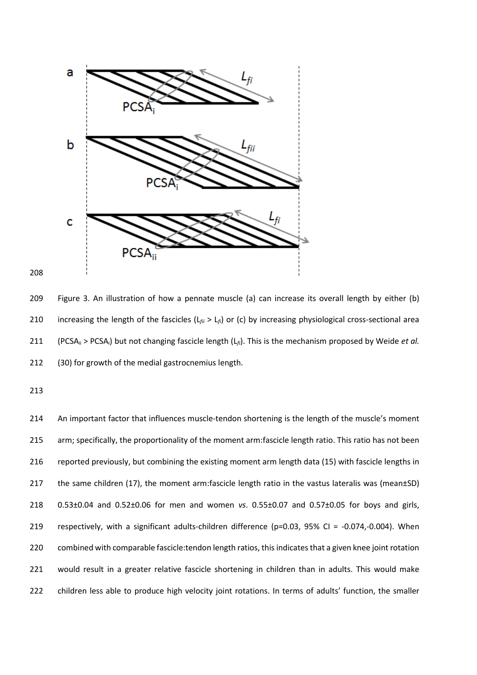

 Figure 3. An illustration of how a pennate muscle (a) can increase its overall length by either (b) increasing the length of the fascicles (L*fii* > L*fi*) or (c) by increasing physiological cross-sectional area (PCSAii > PCSAi) but not changing fascicle length (L*fi*). This is the mechanism proposed by Weide *et al.* (30) for growth of the medial gastrocnemius length.

 An important factor that influences muscle-tendon shortening is the length of the muscle's moment arm; specifically, the proportionality of the moment arm:fascicle length ratio. This ratio has not been reported previously, but combining the existing moment arm length data (15) with fascicle lengths in the same children (17), the moment arm:fascicle length ratio in the vastus lateralis was (mean±SD) 0.53±0.04 and 0.52±0.06 for men and women *vs*. 0.55±0.07 and 0.57±0.05 for boys and girls, 219 respectively, with a significant adults-children difference (p=0.03, 95% CI = -0.074,-0.004). When 220 combined with comparable fascicle: tendon length ratios, this indicates that a given knee joint rotation would result in a greater relative fascicle shortening in children than in adults. This would make 222 children less able to produce high velocity joint rotations. In terms of adults' function, the smaller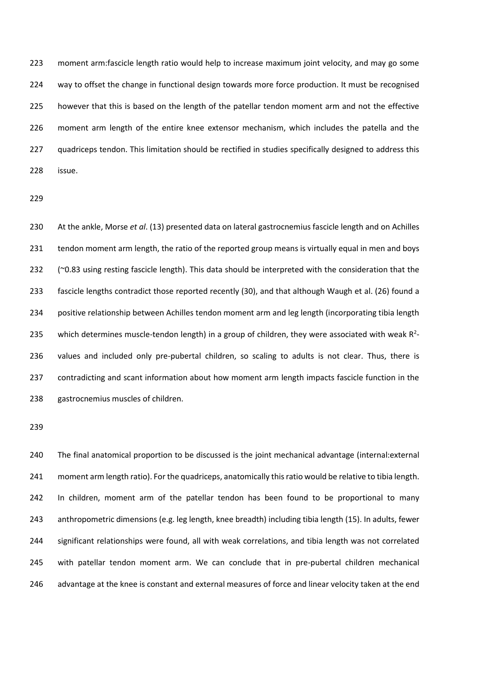moment arm:fascicle length ratio would help to increase maximum joint velocity, and may go some way to offset the change in functional design towards more force production. It must be recognised however that this is based on the length of the patellar tendon moment arm and not the effective moment arm length of the entire knee extensor mechanism, which includes the patella and the 227 quadriceps tendon. This limitation should be rectified in studies specifically designed to address this issue.

 At the ankle, Morse *et al*. (13) presented data on lateral gastrocnemius fascicle length and on Achilles tendon moment arm length, the ratio of the reported group means is virtually equal in men and boys (~0.83 using resting fascicle length). This data should be interpreted with the consideration that the fascicle lengths contradict those reported recently (30), and that although Waugh et al. (26) found a positive relationship between Achilles tendon moment arm and leg length (incorporating tibia length 235 which determines muscle-tendon length) in a group of children, they were associated with weak  $R<sup>2</sup>$ 236 values and included only pre-pubertal children, so scaling to adults is not clear. Thus, there is contradicting and scant information about how moment arm length impacts fascicle function in the gastrocnemius muscles of children.

 The final anatomical proportion to be discussed is the joint mechanical advantage (internal:external moment arm length ratio). For the quadriceps, anatomically this ratio would be relative to tibia length. In children, moment arm of the patellar tendon has been found to be proportional to many anthropometric dimensions (e.g. leg length, knee breadth) including tibia length (15). In adults, fewer significant relationships were found, all with weak correlations, and tibia length was not correlated with patellar tendon moment arm. We can conclude that in pre-pubertal children mechanical 246 advantage at the knee is constant and external measures of force and linear velocity taken at the end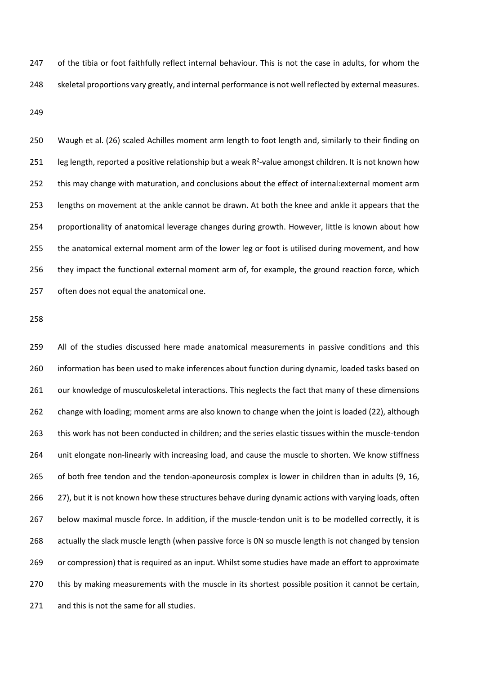of the tibia or foot faithfully reflect internal behaviour. This is not the case in adults, for whom the skeletal proportions vary greatly, and internal performance is not well reflected by external measures.

 Waugh et al. (26) scaled Achilles moment arm length to foot length and, similarly to their finding on 251 leg length, reported a positive relationship but a weak  $R^2$ -value amongst children. It is not known how this may change with maturation, and conclusions about the effect of internal:external moment arm lengths on movement at the ankle cannot be drawn. At both the knee and ankle it appears that the proportionality of anatomical leverage changes during growth. However, little is known about how the anatomical external moment arm of the lower leg or foot is utilised during movement, and how they impact the functional external moment arm of, for example, the ground reaction force, which often does not equal the anatomical one.

 All of the studies discussed here made anatomical measurements in passive conditions and this information has been used to make inferences about function during dynamic, loaded tasks based on 261 our knowledge of musculoskeletal interactions. This neglects the fact that many of these dimensions change with loading; moment arms are also known to change when the joint is loaded (22), although this work has not been conducted in children; and the series elastic tissues within the muscle-tendon unit elongate non-linearly with increasing load, and cause the muscle to shorten. We know stiffness of both free tendon and the tendon-aponeurosis complex is lower in children than in adults (9, 16, 27), but it is not known how these structures behave during dynamic actions with varying loads, often below maximal muscle force. In addition, if the muscle-tendon unit is to be modelled correctly, it is actually the slack muscle length (when passive force is 0N so muscle length is not changed by tension or compression) that is required as an input. Whilst some studies have made an effort to approximate this by making measurements with the muscle in its shortest possible position it cannot be certain, 271 and this is not the same for all studies.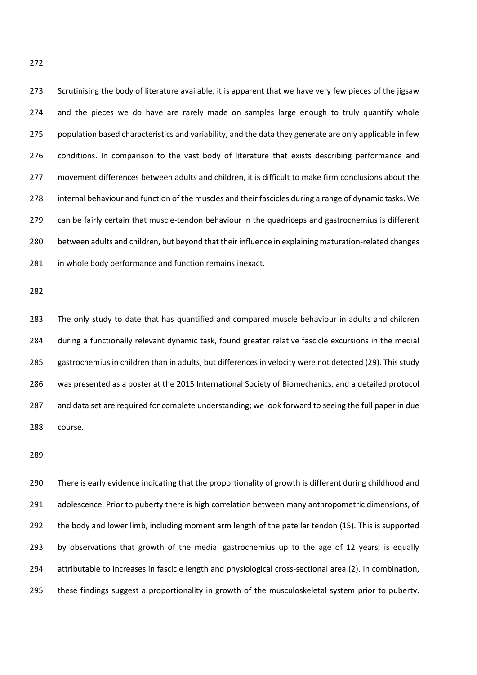Scrutinising the body of literature available, it is apparent that we have very few pieces of the jigsaw 274 and the pieces we do have are rarely made on samples large enough to truly quantify whole 275 population based characteristics and variability, and the data they generate are only applicable in few conditions. In comparison to the vast body of literature that exists describing performance and movement differences between adults and children, it is difficult to make firm conclusions about the 278 internal behaviour and function of the muscles and their fascicles during a range of dynamic tasks. We can be fairly certain that muscle-tendon behaviour in the quadriceps and gastrocnemius is different between adults and children, but beyond that their influence in explaining maturation-related changes 281 in whole body performance and function remains inexact.

 The only study to date that has quantified and compared muscle behaviour in adults and children during a functionally relevant dynamic task, found greater relative fascicle excursions in the medial gastrocnemius in children than in adults, but differences in velocity were not detected (29). This study was presented as a poster at the 2015 International Society of Biomechanics, and a detailed protocol and data set are required for complete understanding; we look forward to seeing the full paper in due course.

 There is early evidence indicating that the proportionality of growth is different during childhood and 291 adolescence. Prior to puberty there is high correlation between many anthropometric dimensions, of the body and lower limb, including moment arm length of the patellar tendon (15). This is supported by observations that growth of the medial gastrocnemius up to the age of 12 years, is equally attributable to increases in fascicle length and physiological cross-sectional area (2). In combination, these findings suggest a proportionality in growth of the musculoskeletal system prior to puberty.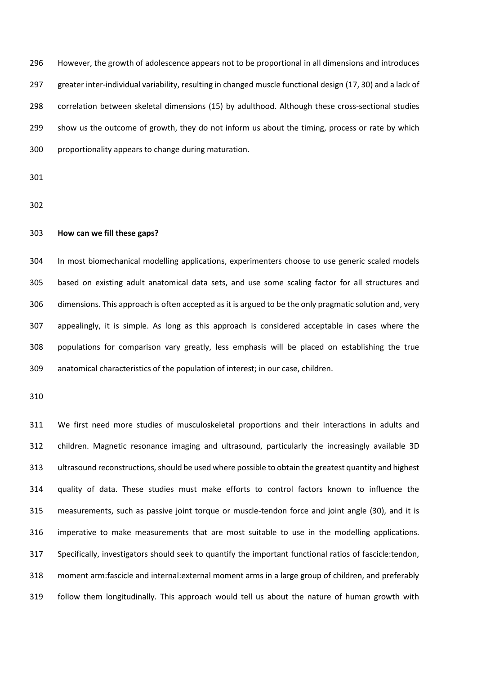However, the growth of adolescence appears not to be proportional in all dimensions and introduces greater inter-individual variability, resulting in changed muscle functional design (17, 30) and a lack of correlation between skeletal dimensions (15) by adulthood. Although these cross-sectional studies show us the outcome of growth, they do not inform us about the timing, process or rate by which proportionality appears to change during maturation.

### **How can we fill these gaps?**

 In most biomechanical modelling applications, experimenters choose to use generic scaled models based on existing adult anatomical data sets, and use some scaling factor for all structures and dimensions. This approach is often accepted as it is argued to be the only pragmatic solution and, very appealingly, it is simple. As long as this approach is considered acceptable in cases where the populations for comparison vary greatly, less emphasis will be placed on establishing the true anatomical characteristics of the population of interest; in our case, children.

 We first need more studies of musculoskeletal proportions and their interactions in adults and children. Magnetic resonance imaging and ultrasound, particularly the increasingly available 3D ultrasound reconstructions, should be used where possible to obtain the greatest quantity and highest quality of data. These studies must make efforts to control factors known to influence the measurements, such as passive joint torque or muscle-tendon force and joint angle (30), and it is imperative to make measurements that are most suitable to use in the modelling applications. Specifically, investigators should seek to quantify the important functional ratios of fascicle:tendon, moment arm:fascicle and internal:external moment arms in a large group of children, and preferably follow them longitudinally. This approach would tell us about the nature of human growth with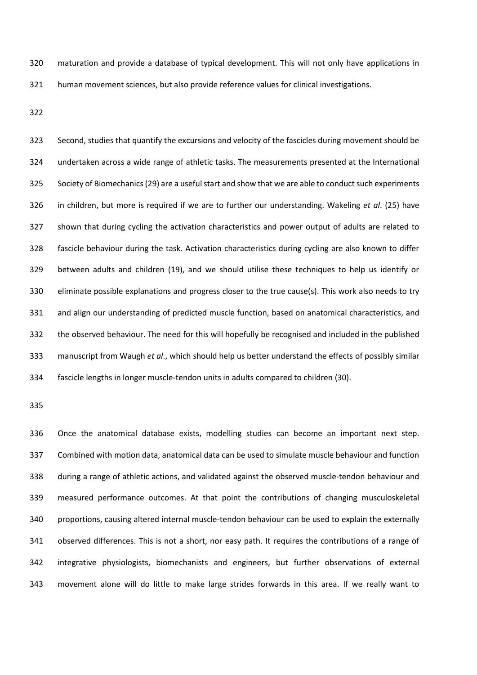maturation and provide a database of typical development. This will not only have applications in human movement sciences, but also provide reference values for clinical investigations.

 Second, studies that quantify the excursions and velocity of the fascicles during movement should be undertaken across a wide range of athletic tasks. The measurements presented at the International Society of Biomechanics (29) are a useful start and show that we are able to conduct such experiments in children, but more is required if we are to further our understanding. Wakeling *et al*. (25) have shown that during cycling the activation characteristics and power output of adults are related to fascicle behaviour during the task. Activation characteristics during cycling are also known to differ between adults and children (19), and we should utilise these techniques to help us identify or eliminate possible explanations and progress closer to the true cause(s). This work also needs to try and align our understanding of predicted muscle function, based on anatomical characteristics, and the observed behaviour. The need for this will hopefully be recognised and included in the published manuscript from Waugh *et al*., which should help us better understand the effects of possibly similar fascicle lengths in longer muscle-tendon units in adults compared to children (30).

 Once the anatomical database exists, modelling studies can become an important next step. Combined with motion data, anatomical data can be used to simulate muscle behaviour and function during a range of athletic actions, and validated against the observed muscle-tendon behaviour and measured performance outcomes. At that point the contributions of changing musculoskeletal proportions, causing altered internal muscle-tendon behaviour can be used to explain the externally observed differences. This is not a short, nor easy path. It requires the contributions of a range of integrative physiologists, biomechanists and engineers, but further observations of external movement alone will do little to make large strides forwards in this area. If we really want to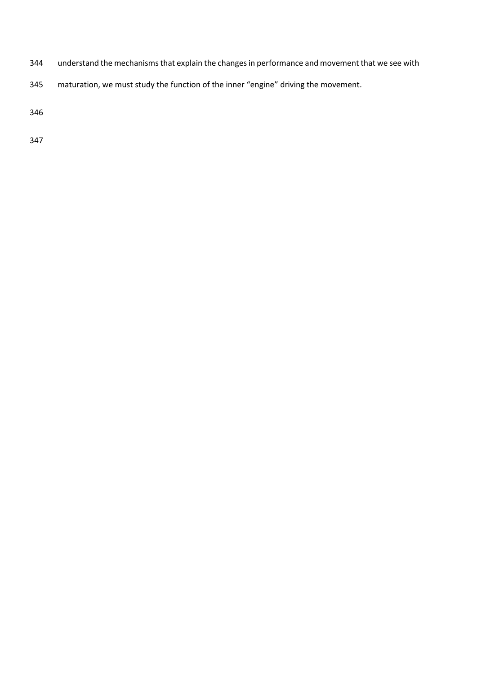- understand the mechanisms that explain the changes in performance and movement that we see with
- maturation, we must study the function of the inner "engine" driving the movement.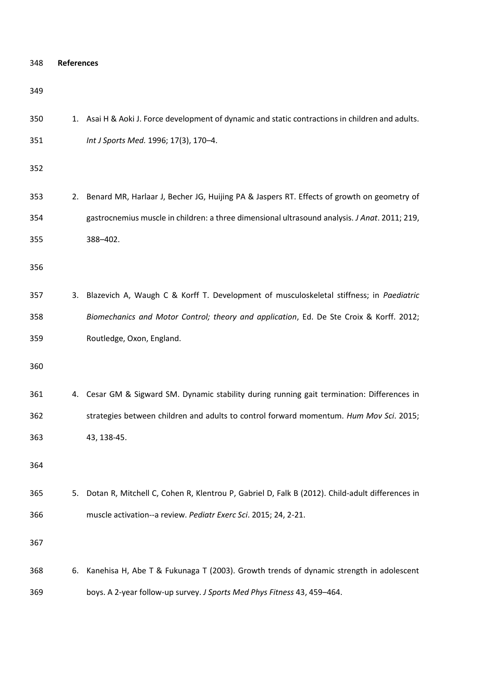| 348 | <b>References</b> |                                                                                                  |  |
|-----|-------------------|--------------------------------------------------------------------------------------------------|--|
| 349 |                   |                                                                                                  |  |
| 350 |                   | 1. Asai H & Aoki J. Force development of dynamic and static contractions in children and adults. |  |
| 351 |                   | Int J Sports Med. 1996; 17(3), 170-4.                                                            |  |
| 352 |                   |                                                                                                  |  |
| 353 | 2.                | Benard MR, Harlaar J, Becher JG, Huijing PA & Jaspers RT. Effects of growth on geometry of       |  |
| 354 |                   | gastrocnemius muscle in children: a three dimensional ultrasound analysis. J Anat. 2011; 219,    |  |
| 355 |                   | 388-402.                                                                                         |  |
| 356 |                   |                                                                                                  |  |
| 357 | 3.                | Blazevich A, Waugh C & Korff T. Development of musculoskeletal stiffness; in Paediatric          |  |
| 358 |                   | Biomechanics and Motor Control; theory and application, Ed. De Ste Croix & Korff. 2012;          |  |
| 359 |                   | Routledge, Oxon, England.                                                                        |  |
| 360 |                   |                                                                                                  |  |
| 361 |                   | 4. Cesar GM & Sigward SM. Dynamic stability during running gait termination: Differences in      |  |
| 362 |                   | strategies between children and adults to control forward momentum. Hum Mov Sci. 2015;           |  |
| 363 |                   | 43, 138-45.                                                                                      |  |
| 364 |                   |                                                                                                  |  |
| 365 | 5.                | Dotan R, Mitchell C, Cohen R, Klentrou P, Gabriel D, Falk B (2012). Child-adult differences in   |  |
| 366 |                   | muscle activation--a review. Pediatr Exerc Sci. 2015; 24, 2-21.                                  |  |
| 367 |                   |                                                                                                  |  |
| 368 | 6.                | Kanehisa H, Abe T & Fukunaga T (2003). Growth trends of dynamic strength in adolescent           |  |
| 369 |                   | boys. A 2-year follow-up survey. J Sports Med Phys Fitness 43, 459-464.                          |  |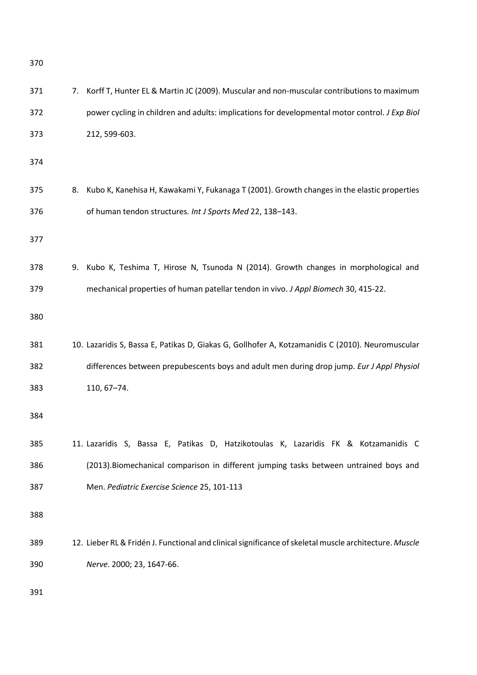| 371 | 7. | Korff T, Hunter EL & Martin JC (2009). Muscular and non-muscular contributions to maximum              |
|-----|----|--------------------------------------------------------------------------------------------------------|
| 372 |    | power cycling in children and adults: implications for developmental motor control. J Exp Biol         |
| 373 |    | 212, 599-603.                                                                                          |
| 374 |    |                                                                                                        |
| 375 | 8. | Kubo K, Kanehisa H, Kawakami Y, Fukanaga T (2001). Growth changes in the elastic properties            |
| 376 |    | of human tendon structures. Int J Sports Med 22, 138-143.                                              |
| 377 |    |                                                                                                        |
| 378 | 9. | Kubo K, Teshima T, Hirose N, Tsunoda N (2014). Growth changes in morphological and                     |
| 379 |    | mechanical properties of human patellar tendon in vivo. J Appl Biomech 30, 415-22.                     |
| 380 |    |                                                                                                        |
| 381 |    | 10. Lazaridis S, Bassa E, Patikas D, Giakas G, Gollhofer A, Kotzamanidis C (2010). Neuromuscular       |
| 382 |    | differences between prepubescents boys and adult men during drop jump. Eur J Appl Physiol              |
| 383 |    | 110, 67-74.                                                                                            |
| 384 |    |                                                                                                        |
| 385 |    | 11. Lazaridis S, Bassa E, Patikas D, Hatzikotoulas K, Lazaridis FK & Kotzamanidis C                    |
| 386 |    | (2013). Biomechanical comparison in different jumping tasks between untrained boys and                 |
| 387 |    | Men. Pediatric Exercise Science 25, 101-113                                                            |
| 388 |    |                                                                                                        |
| 389 |    | 12. Lieber RL & Fridén J. Functional and clinical significance of skeletal muscle architecture. Muscle |
| 390 |    | Nerve. 2000; 23, 1647-66.                                                                              |
| 391 |    |                                                                                                        |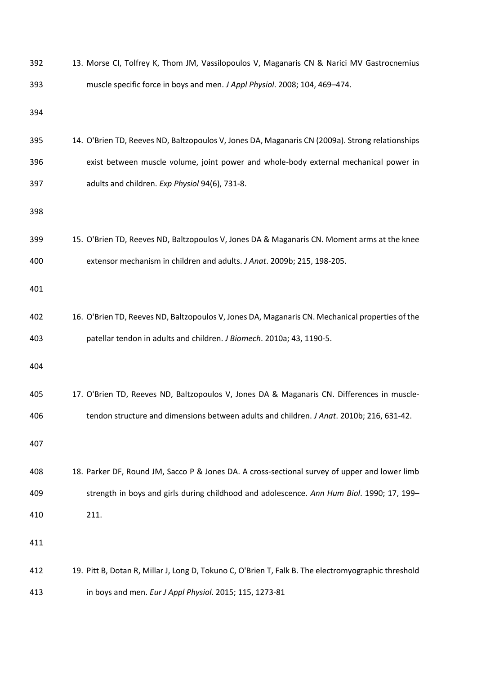| 392 | 13. Morse CI, Tolfrey K, Thom JM, Vassilopoulos V, Maganaris CN & Narici MV Gastrocnemius           |
|-----|-----------------------------------------------------------------------------------------------------|
| 393 | muscle specific force in boys and men. J Appl Physiol. 2008; 104, 469-474.                          |
| 394 |                                                                                                     |
| 395 | 14. O'Brien TD, Reeves ND, Baltzopoulos V, Jones DA, Maganaris CN (2009a). Strong relationships     |
| 396 | exist between muscle volume, joint power and whole-body external mechanical power in                |
| 397 | adults and children. Exp Physiol 94(6), 731-8.                                                      |
| 398 |                                                                                                     |
| 399 | 15. O'Brien TD, Reeves ND, Baltzopoulos V, Jones DA & Maganaris CN. Moment arms at the knee         |
| 400 | extensor mechanism in children and adults. J Anat. 2009b; 215, 198-205.                             |
| 401 |                                                                                                     |
| 402 | 16. O'Brien TD, Reeves ND, Baltzopoulos V, Jones DA, Maganaris CN. Mechanical properties of the     |
| 403 | patellar tendon in adults and children. J Biomech. 2010a; 43, 1190-5.                               |
| 404 |                                                                                                     |
| 405 | 17. O'Brien TD, Reeves ND, Baltzopoulos V, Jones DA & Maganaris CN. Differences in muscle-          |
| 406 | tendon structure and dimensions between adults and children. J Anat. 2010b; 216, 631-42             |
| 407 |                                                                                                     |
| 408 | 18. Parker DF, Round JM, Sacco P & Jones DA. A cross-sectional survey of upper and lower limb       |
| 409 | strength in boys and girls during childhood and adolescence. Ann Hum Biol. 1990; 17, 199-           |
| 410 | 211.                                                                                                |
| 411 |                                                                                                     |
| 412 | 19. Pitt B, Dotan R, Millar J, Long D, Tokuno C, O'Brien T, Falk B. The electromyographic threshold |
| 413 | in boys and men. Eur J Appl Physiol. 2015; 115, 1273-81                                             |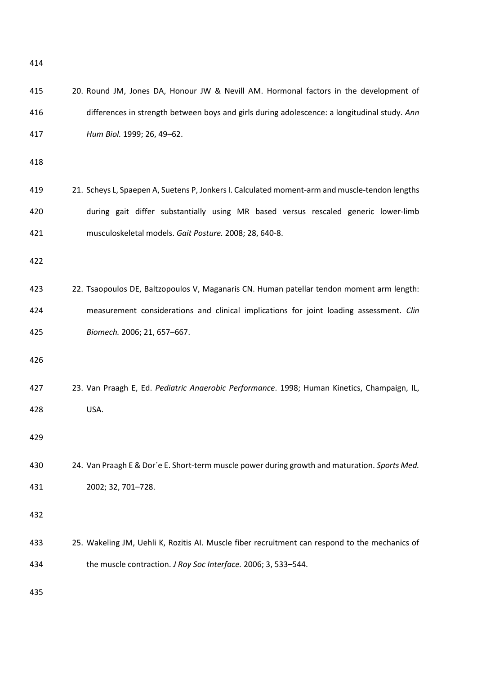| 415 | 20. Round JM, Jones DA, Honour JW & Nevill AM. Hormonal factors in the development of          |
|-----|------------------------------------------------------------------------------------------------|
| 416 | differences in strength between boys and girls during adolescence: a longitudinal study. Ann   |
| 417 | Hum Biol. 1999; 26, 49-62.                                                                     |
| 418 |                                                                                                |
| 419 | 21. Scheys L, Spaepen A, Suetens P, Jonkers I. Calculated moment-arm and muscle-tendon lengths |
| 420 | during gait differ substantially using MR based versus rescaled generic lower-limb             |
| 421 | musculoskeletal models. Gait Posture. 2008; 28, 640-8.                                         |
| 422 |                                                                                                |
| 423 | 22. Tsaopoulos DE, Baltzopoulos V, Maganaris CN. Human patellar tendon moment arm length:      |
| 424 | measurement considerations and clinical implications for joint loading assessment. Clin        |
| 425 | Biomech. 2006; 21, 657-667.                                                                    |
| 426 |                                                                                                |
| 427 | 23. Van Praagh E, Ed. Pediatric Anaerobic Performance. 1998; Human Kinetics, Champaign, IL,    |
| 428 | USA.                                                                                           |
| 429 |                                                                                                |
| 430 | 24. Van Praagh E & Dor'e E. Short-term muscle power during growth and maturation. Sports Med.  |
| 431 | 2002; 32, 701-728.                                                                             |
| 432 |                                                                                                |
| 433 | 25. Wakeling JM, Uehli K, Rozitis AI. Muscle fiber recruitment can respond to the mechanics of |
| 434 | the muscle contraction. J Roy Soc Interface. 2006; 3, 533-544.                                 |
| 435 |                                                                                                |